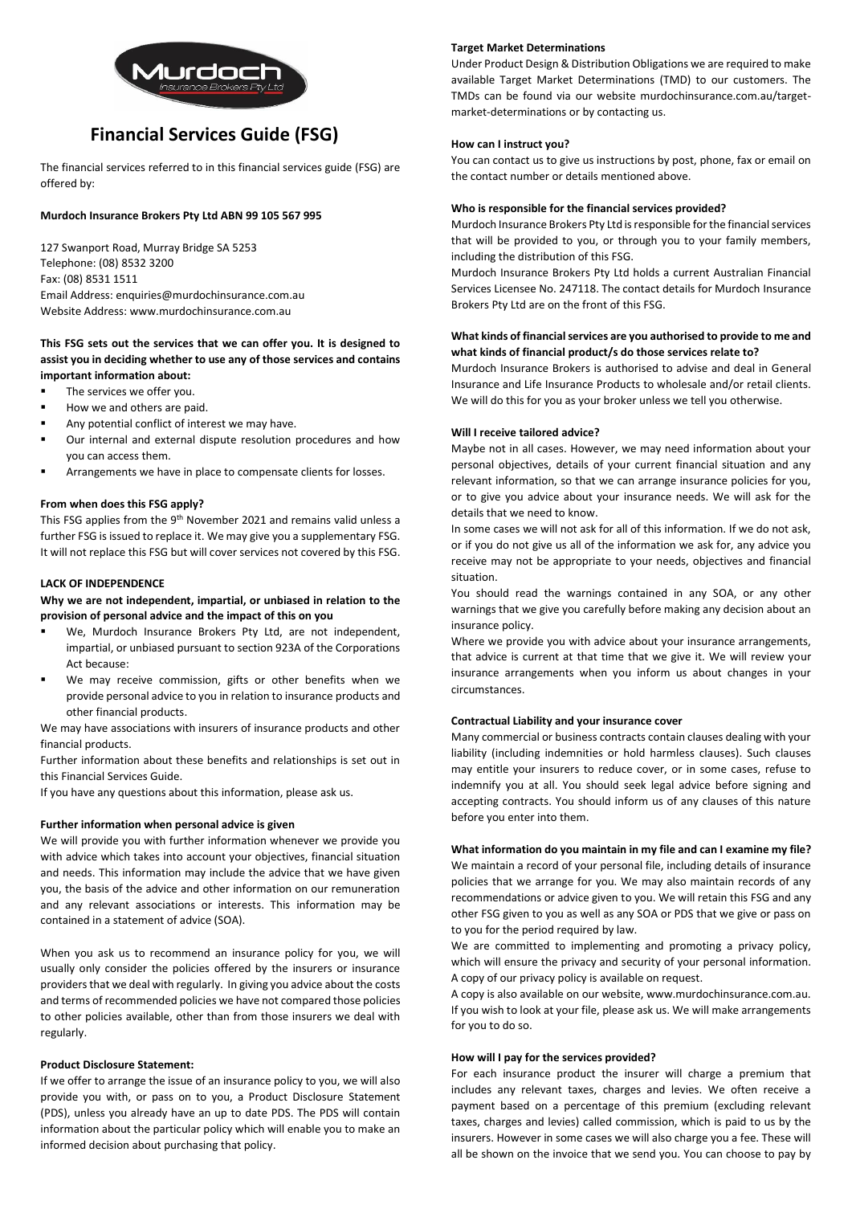

# **Financial Services Guide (FSG)**

The financial services referred to in this financial services guide (FSG) are offered by:

# **Murdoch Insurance Brokers Pty Ltd ABN 99 105 567 995**

127 Swanport Road, Murray Bridge SA 5253 Telephone: (08) 8532 3200 Fax: (08) 8531 1511 Email Address: enquiries@murdochinsurance.com.au Website Address: www.murdochinsurance.com.au

# **This FSG sets out the services that we can offer you. It is designed to assist you in deciding whether to use any of those services and contains important information about:**

- The services we offer you.
- How we and others are paid.
- Any potential conflict of interest we may have.
- Our internal and external dispute resolution procedures and how you can access them.
- Arrangements we have in place to compensate clients for losses.

## **From when does this FSG apply?**

This FSG applies from the 9<sup>th</sup> November 2021 and remains valid unless a further FSG is issued to replace it. We may give you a supplementary FSG. It will not replace this FSG but will cover services not covered by this FSG.

#### **LACK OF INDEPENDENCE**

# **Why we are not independent, impartial, or unbiased in relation to the provision of personal advice and the impact of this on you**

- We, Murdoch Insurance Brokers Pty Ltd, are not independent, impartial, or unbiased pursuant to section 923A of the Corporations Act because:
- We may receive commission, gifts or other benefits when we provide personal advice to you in relation to insurance products and other financial products.

We may have associations with insurers of insurance products and other financial products.

Further information about these benefits and relationships is set out in this Financial Services Guide.

If you have any questions about this information, please ask us.

# **Further information when personal advice is given**

We will provide you with further information whenever we provide you with advice which takes into account your objectives, financial situation and needs. This information may include the advice that we have given you, the basis of the advice and other information on our remuneration and any relevant associations or interests. This information may be contained in a statement of advice (SOA).

When you ask us to recommend an insurance policy for you, we will usually only consider the policies offered by the insurers or insurance providers that we deal with regularly. In giving you advice about the costs and terms of recommended policies we have not compared those policies to other policies available, other than from those insurers we deal with regularly.

# **Product Disclosure Statement:**

If we offer to arrange the issue of an insurance policy to you, we will also provide you with, or pass on to you, a Product Disclosure Statement (PDS), unless you already have an up to date PDS. The PDS will contain information about the particular policy which will enable you to make an informed decision about purchasing that policy.

# **Target Market Determinations**

Under Product Design & Distribution Obligations we are required to make available Target Market Determinations (TMD) to our customers. The TMDs can be found via our website murdochinsurance.com.au/targetmarket-determinations or by contacting us.

## **How can I instruct you?**

You can contact us to give us instructions by post, phone, fax or email on the contact number or details mentioned above.

# **Who is responsible for the financial services provided?**

Murdoch Insurance Brokers Pty Ltd is responsible for the financial services that will be provided to you, or through you to your family members, including the distribution of this FSG.

Murdoch Insurance Brokers Pty Ltd holds a current Australian Financial Services Licensee No. 247118. The contact details for Murdoch Insurance Brokers Pty Ltd are on the front of this FSG.

# **What kinds of financial services are you authorised to provide to me and what kinds of financial product/s do those services relate to?**

Murdoch Insurance Brokers is authorised to advise and deal in General Insurance and Life Insurance Products to wholesale and/or retail clients. We will do this for you as your broker unless we tell you otherwise.

## **Will I receive tailored advice?**

Maybe not in all cases. However, we may need information about your personal objectives, details of your current financial situation and any relevant information, so that we can arrange insurance policies for you, or to give you advice about your insurance needs. We will ask for the details that we need to know.

In some cases we will not ask for all of this information. If we do not ask, or if you do not give us all of the information we ask for, any advice you receive may not be appropriate to your needs, objectives and financial situation.

You should read the warnings contained in any SOA, or any other warnings that we give you carefully before making any decision about an insurance policy.

Where we provide you with advice about your insurance arrangements, that advice is current at that time that we give it. We will review your insurance arrangements when you inform us about changes in your circumstances.

## **Contractual Liability and your insurance cover**

Many commercial or business contracts contain clauses dealing with your liability (including indemnities or hold harmless clauses). Such clauses may entitle your insurers to reduce cover, or in some cases, refuse to indemnify you at all. You should seek legal advice before signing and accepting contracts. You should inform us of any clauses of this nature before you enter into them.

#### **What information do you maintain in my file and can I examine my file?**

We maintain a record of your personal file, including details of insurance policies that we arrange for you. We may also maintain records of any recommendations or advice given to you. We will retain this FSG and any other FSG given to you as well as any SOA or PDS that we give or pass on to you for the period required by law.

We are committed to implementing and promoting a privacy policy, which will ensure the privacy and security of your personal information. A copy of our privacy policy is available on request.

A copy is also available on our website, www.murdochinsurance.com.au. If you wish to look at your file, please ask us. We will make arrangements for you to do so.

## **How will I pay for the services provided?**

For each insurance product the insurer will charge a premium that includes any relevant taxes, charges and levies. We often receive a payment based on a percentage of this premium (excluding relevant taxes, charges and levies) called commission, which is paid to us by the insurers. However in some cases we will also charge you a fee. These will all be shown on the invoice that we send you. You can choose to pay by